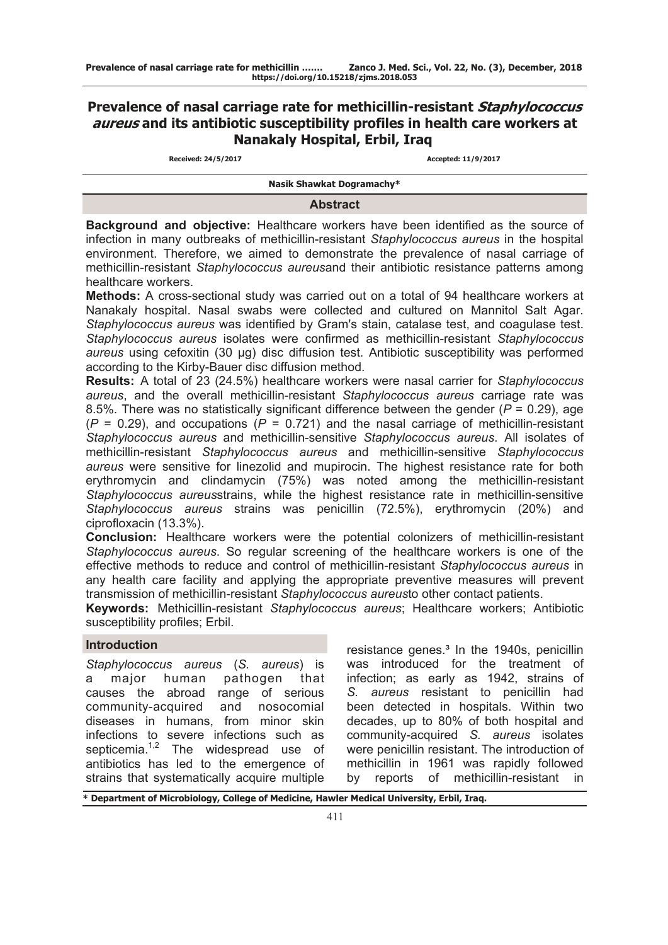# **Prevalence of nasal carriage rate for methicillin-resistant Staphylococcus aureus and its antibiotic susceptibility profiles in health care workers at Nanakaly Hospital, Erbil, Iraq**

**Received: 24/5/2017 Accepted: 11/9/2017**

**Nasik Shawkat Dogramachy\***

#### **Abstract**

**Background and objective:** Healthcare workers have been identified as the source of infection in many outbreaks of methicillin-resistant *Staphylococcus aureus* in the hospital environment. Therefore, we aimed to demonstrate the prevalence of nasal carriage of methicillin-resistant *Staphylococcus aureus*and their antibiotic resistance patterns among healthcare workers.

**Methods:** A cross-sectional study was carried out on a total of 94 healthcare workers at Nanakaly hospital. Nasal swabs were collected and cultured on Mannitol Salt Agar. *Staphylococcus aureus* was identified by Gram's stain, catalase test, and coagulase test. *Staphylococcus aureus* isolates were confirmed as methicillin-resistant *Staphylococcus aureus* using cefoxitin (30 μg) disc diffusion test. Antibiotic susceptibility was performed according to the Kirby-Bauer disc diffusion method.

**Results:** A total of 23 (24.5%) healthcare workers were nasal carrier for *Staphylococcus aureus*, and the overall methicillin-resistant *Staphylococcus aureus* carriage rate was 8.5%. There was no statistically significant difference between the gender (*P* = 0.29), age  $(P = 0.29)$ , and occupations  $(P = 0.721)$  and the nasal carriage of methicillin-resistant *Staphylococcus aureus* and methicillin-sensitive *Staphylococcus aureus*. All isolates of methicillin-resistant *Staphylococcus aureus* and methicillin-sensitive *Staphylococcus aureus* were sensitive for linezolid and mupirocin. The highest resistance rate for both erythromycin and clindamycin (75%) was noted among the methicillin-resistant *Staphylococcus aureus*strains, while the highest resistance rate in methicillin-sensitive *Staphylococcus aureus* strains was penicillin (72.5%), erythromycin (20%) and ciprofloxacin (13.3%).

**Conclusion:** Healthcare workers were the potential colonizers of methicillin-resistant *Staphylococcus aureus*. So regular screening of the healthcare workers is one of the effective methods to reduce and control of methicillin-resistant *Staphylococcus aureus* in any health care facility and applying the appropriate preventive measures will prevent transmission of methicillin-resistant *Staphylococcus aureus*to other contact patients.

**Keywords:** Methicillin-resistant *Staphylococcus aureus*; Healthcare workers; Antibiotic susceptibility profiles; Erbil.

## **Introduction**

*Staphylococcus aureus* (*S. aureus*) is a major human pathogen that causes the abroad range of serious community-acquired and nosocomial diseases in humans, from minor skin infections to severe infections such as septicemia.<sup>1,2</sup> The widespread use of antibiotics has led to the emergence of strains that systematically acquire multiple

resistance genes.<sup>3</sup> In the 1940s, penicillin was introduced for the treatment of infection; as early as 1942, strains of *S. aureus* resistant to penicillin had been detected in hospitals. Within two decades, up to 80% of both hospital and community-acquired *S. aureus* isolates were penicillin resistant. The introduction of methicillin in 1961 was rapidly followed by reports of methicillin-resistant in

**\* Department of Microbiology, College of Medicine, Hawler Medical University, Erbil, Iraq.**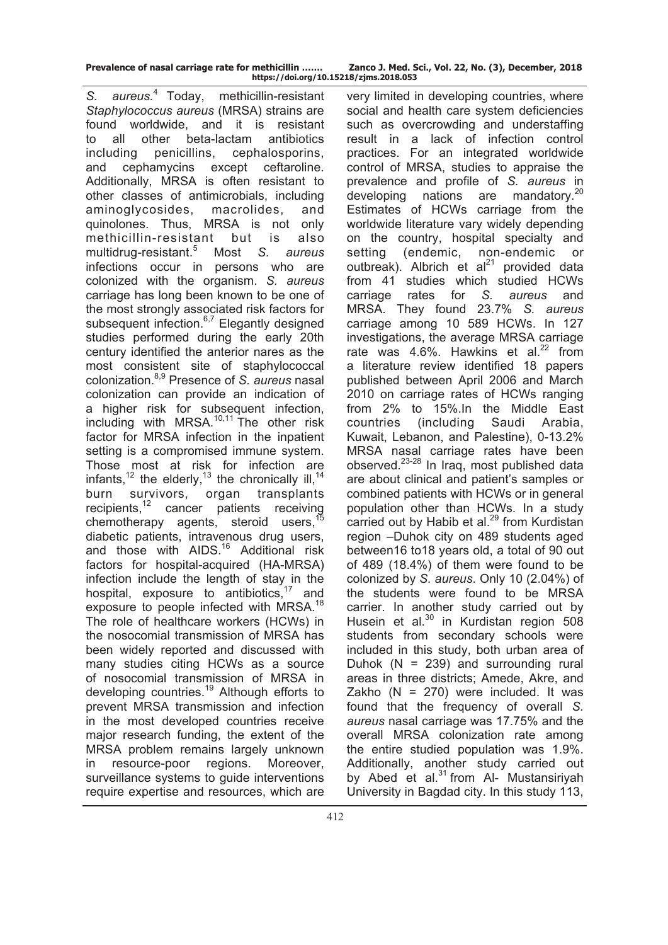**Prevalence of nasal carriage rate for methicillin ……. Zanco J. Med. Sci., Vol. 22, No. (3), December, 2018 https://doi.org/10.15218/zjms.2018.053**

*S. aureus.*4 Today, methicillin-resistant *Staphylococcus aureus* (MRSA) strains are found worldwide, and it is resistant to all other beta-lactam antibiotics including penicillins, cephalosporins, and cephamycins except ceftaroline. Additionally, MRSA is often resistant to other classes of antimicrobials, including aminoglycosides, macrolides, and quinolones. Thus, MRSA is not only methicillin-resistant but is also multidrug-resistant.<sup>5</sup> Most *S. aureus* infections occur in persons who are colonized with the organism. *S. aureus*  carriage has long been known to be one of the most strongly associated risk factors for subsequent infection. $6,7$  Elegantly designed studies performed during the early 20th century identified the anterior nares as the most consistent site of staphylococcal colonization.8,9 Presence of *S. aureus* nasal colonization can provide an indication of a higher risk for subsequent infection, including with MRSA. $10,11$  The other risk factor for MRSA infection in the inpatient setting is a compromised immune system. Those most at risk for infection are infants,<sup>12</sup> the elderly,<sup>13</sup> the chronically ill,<sup>14</sup> burn survivors, organ transplants recipients, $12$  cancer patients receiving chemotherapy agents, steroid users.<sup>15</sup> diabetic patients, intravenous drug users, and those with AIDS.<sup>16</sup> Additional risk factors for hospital-acquired (HA-MRSA) infection include the length of stay in the hospital, exposure to antibiotics, $17$  and exposure to people infected with MRSA.<sup>18</sup> The role of healthcare workers (HCWs) in the nosocomial transmission of MRSA has been widely reported and discussed with many studies citing HCWs as a source of nosocomial transmission of MRSA in developing countries.<sup>19</sup> Although efforts to prevent MRSA transmission and infection in the most developed countries receive major research funding, the extent of the MRSA problem remains largely unknown in resource-poor regions. Moreover, surveillance systems to guide interventions require expertise and resources, which are

very limited in developing countries, where social and health care system deficiencies such as overcrowding and understaffing result in a lack of infection control practices. For an integrated worldwide control of MRSA, studies to appraise the prevalence and profile of *S. aureus* in developing nations are mandatory.<sup>20</sup> Estimates of HCWs carriage from the worldwide literature vary widely depending on the country, hospital specialty and setting (endemic, non-endemic or outbreak). Albrich et  $al^{21}$  provided data from 41 studies which studied HCWs carriage rates for *S. aureus* and MRSA. They found 23.7% *S. aureus* carriage among 10 589 HCWs. In 127 investigations, the average MRSA carriage rate was  $4.6\%$ . Hawkins et al.<sup>22</sup> from a literature review identified 18 papers published between April 2006 and March 2010 on carriage rates of HCWs ranging from 2% to 15%.In the Middle East countries (including Saudi Arabia, Kuwait, Lebanon, and Palestine), 0-13.2% MRSA nasal carriage rates have been observed.23-28 In Iraq, most published data are about clinical and patient's samples or combined patients with HCWs or in general population other than HCWs. In a study carried out by Habib et al.<sup>29</sup> from Kurdistan region –Duhok city on 489 students aged between16 to18 years old, a total of 90 out of 489 (18.4%) of them were found to be colonized by *S. aureus*. Only 10 (2.04%) of the students were found to be MRSA carrier. In another study carried out by Husein et al. $30$  in Kurdistan region 508 students from secondary schools were included in this study, both urban area of Duhok  $(N = 239)$  and surrounding rural areas in three districts; Amede, Akre, and Zakho ( $N = 270$ ) were included. It was found that the frequency of overall *S. aureus* nasal carriage was 17.75% and the overall MRSA colonization rate among the entire studied population was 1.9%. Additionally, another study carried out by Abed et al. $31$  from Al- Mustansiriyah University in Bagdad city. In this study 113,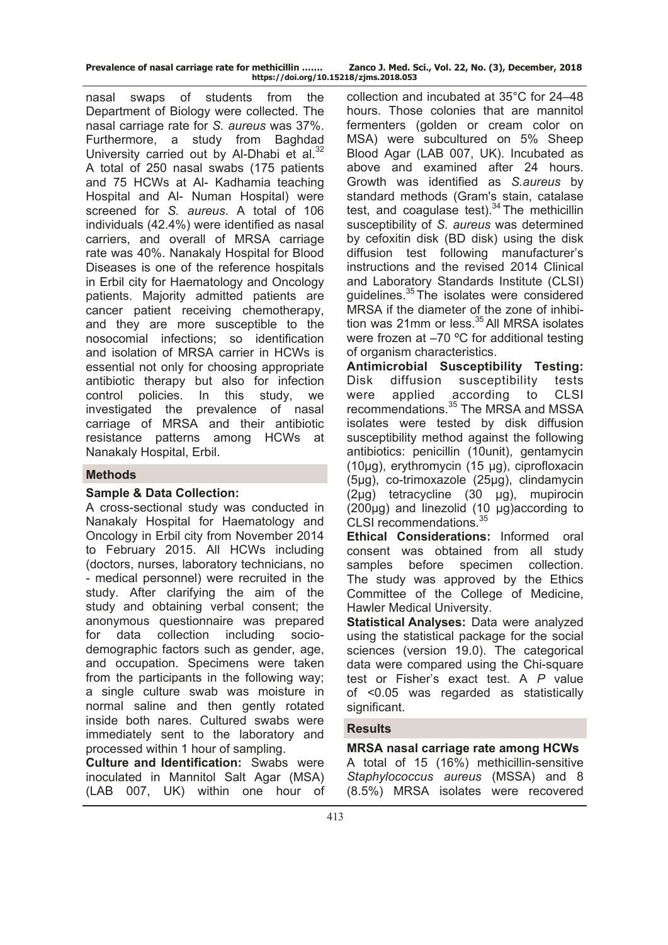| Prevalence of nasal carriage rate for methicillin |                         |
|---------------------------------------------------|-------------------------|
|                                                   | https://doi.org/10.1521 |

nasal swaps of students from the Department of Biology were collected. The nasal carriage rate for *S. aureus* was 37%. Furthermore, a study from Baghdad University carried out by Al-Dhabi et al.<sup>32</sup> A total of 250 nasal swabs (175 patients and 75 HCWs at Al- Kadhamia teaching Hospital and Al- Numan Hospital) were screened for *S. aureus*. A total of 106 individuals (42.4%) were identified as nasal carriers, and overall of MRSA carriage rate was 40%. Nanakaly Hospital for Blood Diseases is one of the reference hospitals in Erbil city for Haematology and Oncology patients. Majority admitted patients are cancer patient receiving chemotherapy, and they are more susceptible to the nosocomial infections; so identification and isolation of MRSA carrier in HCWs is essential not only for choosing appropriate antibiotic therapy but also for infection control policies. In this study, we investigated the prevalence of nasal carriage of MRSA and their antibiotic resistance patterns among HCWs at Nanakaly Hospital, Erbil.

## **Methods**

## **Sample & Data Collection:**

A cross-sectional study was conducted in Nanakaly Hospital for Haematology and Oncology in Erbil city from November 2014 to February 2015. All HCWs including (doctors, nurses, laboratory technicians, no - medical personnel) were recruited in the study. After clarifying the aim of the study and obtaining verbal consent; the anonymous questionnaire was prepared for data collection including sociodemographic factors such as gender, age, and occupation. Specimens were taken from the participants in the following way; a single culture swab was moisture in normal saline and then gently rotated inside both nares. Cultured swabs were immediately sent to the laboratory and processed within 1 hour of sampling.

**Culture and Identification:** Swabs were inoculated in Mannitol Salt Agar (MSA) (LAB 007, UK) within one hour of

collection and incubated at 35°C for 24–48 hours. Those colonies that are mannitol fermenters (golden or cream color on MSA) were subcultured on 5% Sheep Blood Agar (LAB 007, UK). Incubated as above and examined after 24 hours. Growth was identified as *S.aureus* by standard methods (Gram's stain, catalase test, and coagulase test). $34$  The methicillin susceptibility of *S. aureus* was determined by cefoxitin disk (BD disk) using the disk diffusion test following manufacturer's instructions and the revised 2014 Clinical and Laboratory Standards Institute (CLSI) guidelines.35 The isolates were considered MRSA if the diameter of the zone of inhibition was 21mm or less. $35$  All MRSA isolates were frozen at  $-70$  °C for additional testing of organism characteristics.

**Antimicrobial Susceptibility Testing:** Disk diffusion susceptibility tests were applied according to CLSI recommendations.<sup>35</sup> The MRSA and MSSA isolates were tested by disk diffusion susceptibility method against the following antibiotics: penicillin (10unit), gentamycin (10μg), erythromycin (15 μg), ciprofloxacin (5μg), co-trimoxazole (25μg), clindamycin (2μg) tetracycline (30 μg), mupirocin (200μg) and linezolid (10 μg)according to CLSI recommendations.<sup>35</sup>

**Ethical Considerations:** Informed oral consent was obtained from all study samples before specimen collection. The study was approved by the Ethics Committee of the College of Medicine, Hawler Medical University.

**Statistical Analyses:** Data were analyzed using the statistical package for the social sciences (version 19.0). The categorical data were compared using the Chi-square test or Fisher's exact test. A *P* value of <0.05 was regarded as statistically significant.

## **Results**

**MRSA nasal carriage rate among HCWs**  A total of 15 (16%) methicillin-sensitive *Staphylococcus aureus* (MSSA) and 8 (8.5%) MRSA isolates were recovered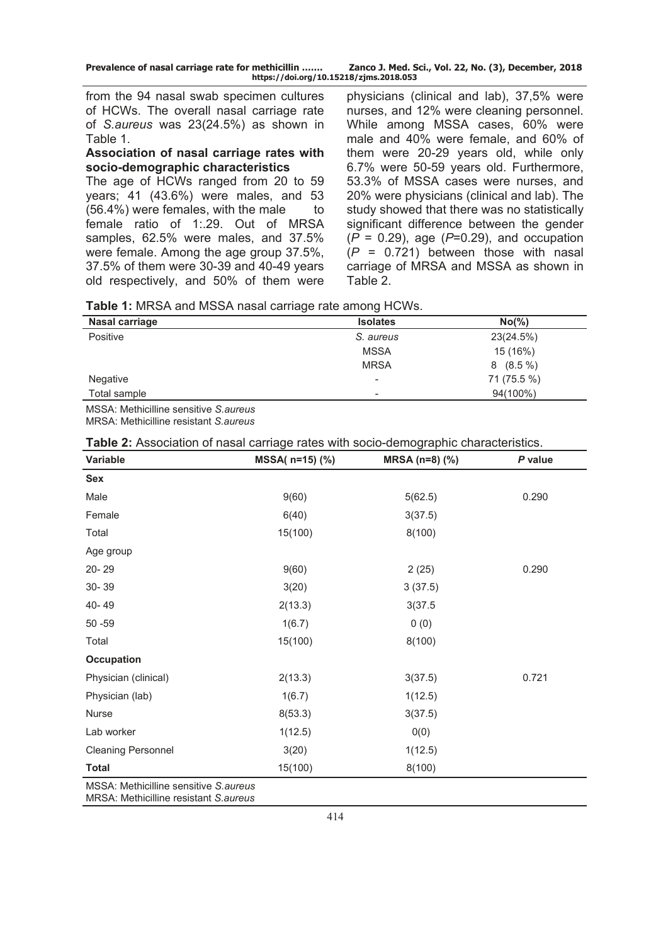| Prevalence of nasal carriage rate for methicillin | Zanco J. Med. Sci., Vol. 22, No. (3), December, 2018 |
|---------------------------------------------------|------------------------------------------------------|
| https://doi.org/10.15218/zjms.2018.053            |                                                      |

from the 94 nasal swab specimen cultures of HCWs. The overall nasal carriage rate of *S.aureus* was 23(24.5%) as shown in Table 1.

#### **Association of nasal carriage rates with socio-demographic characteristics**

The age of HCWs ranged from 20 to 59 years; 41 (43.6%) were males, and 53  $(56.4%)$  were females, with the male to female ratio of 1:.29. Out of MRSA samples, 62.5% were males, and 37.5% were female. Among the age group 37.5%, 37.5% of them were 30-39 and 40-49 years old respectively, and 50% of them were physicians (clinical and lab), 37,5% were nurses, and 12% were cleaning personnel. While among MSSA cases, 60% were male and 40% were female, and 60% of them were 20-29 years old, while only 6.7% were 50-59 years old. Furthermore, 53.3% of MSSA cases were nurses, and 20% were physicians (clinical and lab). The study showed that there was no statistically significant difference between the gender (*P* = 0.29), age (*P*=0.29), and occupation (*P* = 0.721) between those with nasal carriage of MRSA and MSSA as shown in Table 2.

| Table 1: MRSA and MSSA nasal carriage rate among HCWs. |  |  |
|--------------------------------------------------------|--|--|
|--------------------------------------------------------|--|--|

| Nasal carriage                                | <b>Isolates</b>          | $No(\% )$      |
|-----------------------------------------------|--------------------------|----------------|
| Positive                                      | S. aureus                | 23(24.5%)      |
|                                               | <b>MSSA</b>              | 15 (16%)       |
|                                               | <b>MRSA</b>              | $(8.5\%)$<br>8 |
| Negative                                      | $\overline{\phantom{a}}$ | 71 (75.5 %)    |
| Total sample                                  | $\overline{\phantom{a}}$ | 94(100%)       |
| $MCA$ , $Mab$ is illing considius $Cab$ $Mab$ |                          |                |

MSSA: Methicilline sensitive *S.aureus* MRSA: Methicilline resistant *S.aureus* 

| Variable                  | MSSA( n=15) (%) | MRSA (n=8) (%) | P value |  |
|---------------------------|-----------------|----------------|---------|--|
| <b>Sex</b>                |                 |                |         |  |
| Male                      | 9(60)           | 5(62.5)        | 0.290   |  |
| Female                    | 6(40)           | 3(37.5)        |         |  |
| Total                     | 15(100)         | 8(100)         |         |  |
| Age group                 |                 |                |         |  |
| 20-29                     | 9(60)           | 2(25)          | 0.290   |  |
| 30-39                     | 3(20)           | 3(37.5)        |         |  |
| 40-49                     | 2(13.3)         | 3(37.5)        |         |  |
| $50 - 59$                 | 1(6.7)          | 0(0)           |         |  |
| Total                     | 15(100)         | 8(100)         |         |  |
| <b>Occupation</b>         |                 |                |         |  |
| Physician (clinical)      | 2(13.3)         | 3(37.5)        | 0.721   |  |
| Physician (lab)           | 1(6.7)          | 1(12.5)        |         |  |
| Nurse                     | 8(53.3)         | 3(37.5)        |         |  |
| Lab worker                | 1(12.5)         | 0(0)           |         |  |
| <b>Cleaning Personnel</b> | 3(20)           | 1(12.5)        |         |  |
| <b>Total</b>              | 15(100)         | 8(100)         |         |  |

MSSA: Methicilline sensitive *S.aureus* MRSA: Methicilline resistant *S.aureus*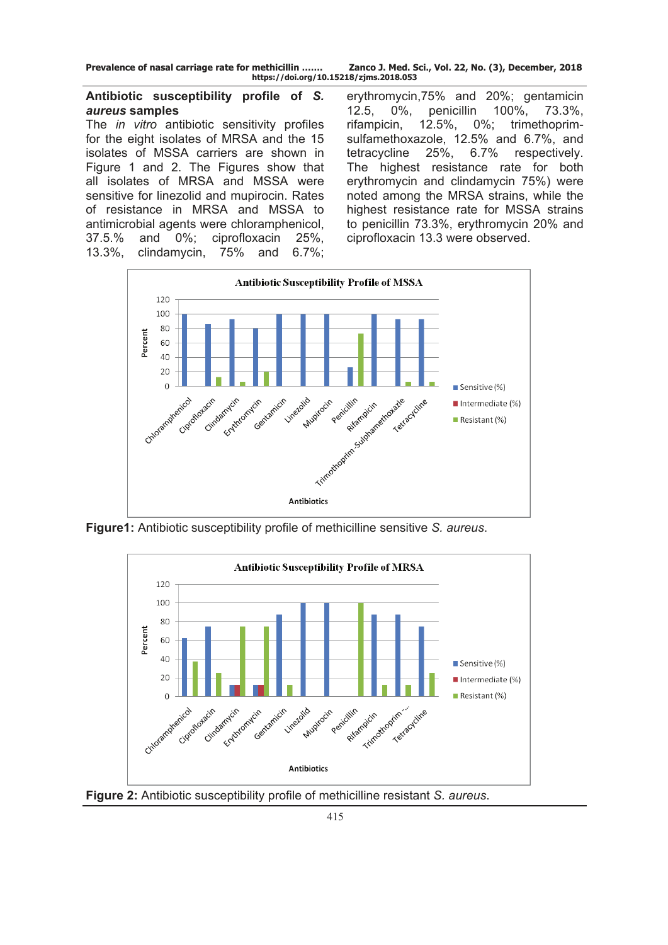**Prevalence of nasal carriage rate for methicillin ……. Zanco J. Med. Sci., Vol. 22, No. (3), December, 2018 https://doi.org/10.15218/zjms.2018.053**

## **Antibiotic susceptibility profile of** *S. aureus* **samples**

The *in vitro* antibiotic sensitivity profiles for the eight isolates of MRSA and the 15 isolates of MSSA carriers are shown in Figure 1 and 2. The Figures show that all isolates of MRSA and MSSA were sensitive for linezolid and mupirocin. Rates of resistance in MRSA and MSSA to antimicrobial agents were chloramphenicol, 37.5.% and 0%; ciprofloxacin 25%, 13.3%, clindamycin, 75% and 6.7%;

erythromycin,75% and 20%; gentamicin 12.5, 0%, penicillin 100%, 73.3%, rifampicin, 12.5%, 0%; trimethoprimsulfamethoxazole, 12.5% and 6.7%, and tetracycline 25%, 6.7% respectively. The highest resistance rate for both erythromycin and clindamycin 75%) were noted among the MRSA strains, while the highest resistance rate for MSSA strains to penicillin 73.3%, erythromycin 20% and ciprofloxacin 13.3 were observed.



**Figure1:** Antibiotic susceptibility profile of methicilline sensitive *S. aureus*.



**Figure 2:** Antibiotic susceptibility profile of methicilline resistant *S. aureus*.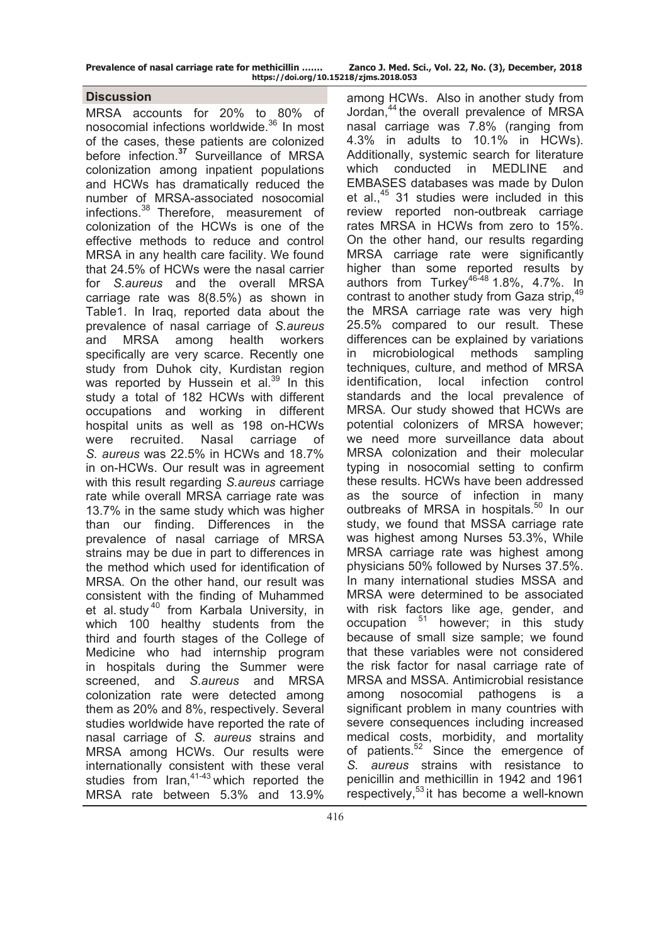| Prevalence of nasal carriage rate for methicillin | Zanco J. Med. Sci., Vol. 22, No. (3), December, 2018 |  |  |
|---------------------------------------------------|------------------------------------------------------|--|--|
| https://doi.org/10.15218/zjms.2018.053            |                                                      |  |  |

## **Discussion**

MRSA accounts for 20% to 80% of nosocomial infections worldwide.<sup>36</sup> In most of the cases, these patients are colonized before infection.**<sup>37</sup>** Surveillance of MRSA colonization among inpatient populations and HCWs has dramatically reduced the number of MRSA-associated nosocomial infections.<sup>38</sup> Therefore, measurement of colonization of the HCWs is one of the effective methods to reduce and control MRSA in any health care facility. We found that 24.5% of HCWs were the nasal carrier for *S.aureus* and the overall MRSA carriage rate was 8(8.5%) as shown in Table1. In Iraq, reported data about the prevalence of nasal carriage of *S.aureus* and MRSA among health workers specifically are very scarce. Recently one study from Duhok city, Kurdistan region was reported by [Hussein](https://www.ncbi.nlm.nih.gov/pubmed/?term=Hussein%20NR%5BAuthor%5D&cauthor=true&cauthor_uid=28419870) et al.<sup>39</sup> In this study a total of 182 HCWs with different occupations and working in different hospital units as well as 198 on-HCWs were recruited. Nasal carriage of *S. aureus* was 22.5% in HCWs and 18.7% in on-HCWs. Our result was in agreement with this result regarding *S.aureus* carriage rate while overall MRSA carriage rate was 13.7% in the same study which was higher than our finding. Differences in the prevalence of nasal carriage of MRSA strains may be due in part to differences in the method which used for identification of MRSA. On the other hand, our result was consistent with the finding of Muhammed et al. study<sup>40</sup> from Karbala University, in which 100 healthy students from the third and fourth stages of the College of Medicine who had internship program in hospitals during the Summer were screened, and *S.aureus* and MRSA colonization rate were detected among them as 20% and 8%, respectively. Several studies worldwide have reported the rate of nasal carriage of *S. aureus* strains and MRSA among HCWs. Our results were internationally consistent with these veral studies from Iran,  $41-43$  which reported the MRSA rate between 5.3% and 13.9%

among HCWs. Also in another study from Jordan,44 the overall prevalence of MRSA nasal carriage was 7.8% (ranging from 4.3% in adults to 10.1% in HCWs). Additionally, systemic search for literature which conducted in MEDLINE and EMBASES databases was made by Dulon et al., $45$  31 studies were included in this review reported non-outbreak carriage rates MRSA in HCWs from zero to 15%. On the other hand, our results regarding MRSA carriage rate were significantly higher than some reported results by authors from Turkey46-48 1.8%, 4.7%. In contrast to another study from Gaza strip.<sup>49</sup> the MRSA carriage rate was very high 25.5% compared to our result. These differences can be explained by variations in microbiological methods sampling techniques, culture, and method of MRSA identification, local infection control standards and the local prevalence of MRSA. Our study showed that HCWs are potential colonizers of MRSA however; we need more surveillance data about MRSA colonization and their molecular typing in nosocomial setting to confirm these results. HCWs have been addressed as the source of infection in many outbreaks of MRSA in hospitals.<sup>50</sup> In our study, we found that MSSA carriage rate was highest among Nurses 53.3%, While MRSA carriage rate was highest among physicians 50% followed by Nurses 37.5%. In many international studies MSSA and MRSA were determined to be associated with risk factors like age, gender, and occupation 51 however; in this study because of small size sample; we found that these variables were not considered the risk factor for nasal carriage rate of MRSA and MSSA. Antimicrobial resistance among nosocomial pathogens is a significant problem in many countries with severe consequences including increased medical costs, morbidity, and mortality of patients.<sup>52</sup> Since the emergence of *S. aureus* strains with resistance to penicillin and methicillin in 1942 and 1961 respectively,<sup>53</sup> it has become a well-known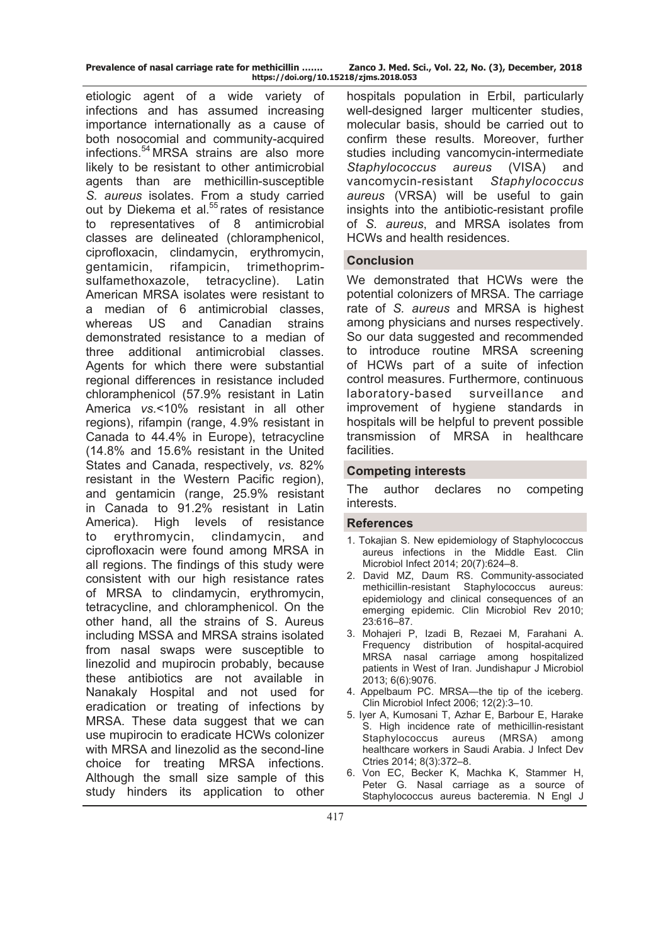| Prevalence of nasal carriage rate for methicillin |  |  |                    |
|---------------------------------------------------|--|--|--------------------|
|                                                   |  |  | https://doi.org/10 |

etiologic agent of a wide variety of infections and has assumed increasing importance internationally as a cause of both nosocomial and community-acquired infections.<sup>54</sup> MRSA strains are also more likely to be resistant to other antimicrobial agents than are methicillin-susceptible *S. aureus* isolates. From a study carried out by Diekema et al.<sup>55</sup> rates of resistance to representatives of 8 antimicrobial classes are delineated (chloramphenicol, ciprofloxacin, clindamycin, erythromycin, gentamicin, rifampicin, trimethoprimsulfamethoxazole, tetracycline). Latin American MRSA isolates were resistant to a median of 6 antimicrobial classes, whereas US and Canadian strains demonstrated resistance to a median of three additional antimicrobial classes. Agents for which there were substantial regional differences in resistance included chloramphenicol (57.9% resistant in Latin America *vs.*<10% resistant in all other regions), rifampin (range, 4.9% resistant in Canada to 44.4% in Europe), tetracycline (14.8% and 15.6% resistant in the United States and Canada, respectively, *vs.* 82% resistant in the Western Pacific region), and gentamicin (range, 25.9% resistant in Canada to 91.2% resistant in Latin America). High levels of resistance to erythromycin, clindamycin, and ciprofloxacin were found among MRSA in all regions. The findings of this study were consistent with our high resistance rates of MRSA to clindamycin, erythromycin, tetracycline, and chloramphenicol. On the other hand, all the strains of S. Aureus including MSSA and MRSA strains isolated from nasal swaps were susceptible to linezolid and mupirocin probably, because these antibiotics are not available in Nanakaly Hospital and not used for eradication or treating of infections by MRSA. These data suggest that we can use mupirocin to eradicate HCWs colonizer with MRSA and linezolid as the second-line choice for treating MRSA infections. Although the small size sample of this study hinders its application to other

hospitals population in Erbil, particularly well-designed larger multicenter studies, molecular basis, should be carried out to confirm these results. Moreover, further studies including vancomycin-intermediate *Staphylococcus aureus* (VISA) and vancomycin-resistant *Staphylococcus aureus* (VRSA) will be useful to gain insights into the antibiotic-resistant profile of *S. aureus*, and MRSA isolates from HCWs and health residences.

## **Conclusion**

We demonstrated that HCWs were the potential colonizers of MRSA. The carriage rate of *S. aureus* and MRSA is highest among physicians and nurses respectively. So our data suggested and recommended to introduce routine MRSA screening of HCWs part of a suite of infection control measures. Furthermore, continuous laboratory-based surveillance and improvement of hygiene standards in hospitals will be helpful to prevent possible transmission of MRSA in healthcare facilities.

## **Competing interests**

The author declares no competing interests.

## **References**

- 1. Tokajian S. New epidemiology of Staphylococcus aureus infections in the Middle East. Clin Microbiol Infect 2014; 20(7):624–8.
- 2. David MZ, Daum RS. Community-associated methicillin-resistant Staphylococcus aureus: epidemiology and clinical consequences of an emerging epidemic. Clin Microbiol Rev 2010; 23:616–87.
- 3. Mohajeri P, Izadi B, Rezaei M, Farahani A. Frequency distribution of hospital-acquired MRSA nasal carriage among hospitalized patients in West of Iran. Jundishapur J Microbiol 2013; 6(6):9076.
- 4. Appelbaum PC. MRSA—the tip of the iceberg. Clin Microbiol Infect 2006; 12(2):3–10.
- 5. Iyer A, Kumosani T, Azhar E, Barbour E, Harake S. High incidence rate of methicillin-resistant Staphylococcus aureus (MRSA) among healthcare workers in Saudi Arabia. J Infect Dev Ctries 2014; 8(3):372–8.
- 6. Von EC, Becker K, Machka K, Stammer H, Peter G. Nasal carriage as a source of Staphylococcus aureus bacteremia. N Engl J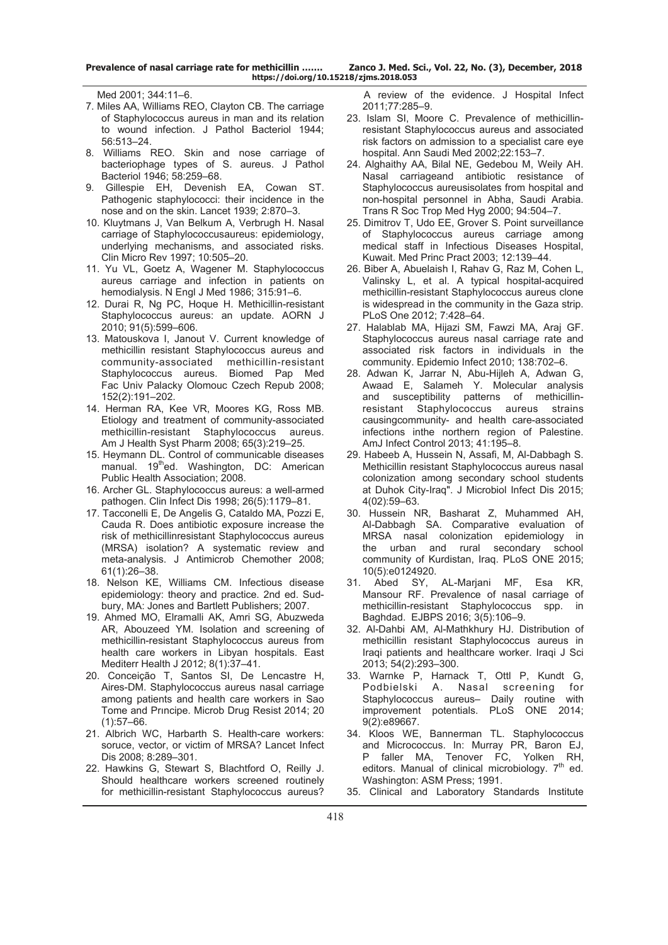Med 2001; 344:11–6.

- 7. Miles AA, Williams REO, Clayton CB. The carriage of Staphylococcus aureus in man and its relation to wound infection. J Pathol Bacteriol 1944; 56:513–24.
- 8. Williams REO. Skin and nose carriage of bacteriophage types of S. aureus. J Pathol Bacteriol 1946; 58:259–68.
- 9. Gillespie EH, Devenish EA, Cowan ST. Pathogenic staphylococci: their incidence in the nose and on the skin. Lancet 1939; 2:870–3.
- 10. Kluytmans J, Van Belkum A, Verbrugh H. Nasal carriage of Staphylococcusaureus: epidemiology, underlying mechanisms, and associated risks. Clin Micro Rev 1997; 10:505–20.
- 11. Yu VL, Goetz A, Wagener M. Staphylococcus aureus carriage and infection in patients on hemodialysis. N Engl J Med 1986; 315:91–6.
- 12. Durai R, Ng PC, Hoque H. Methicillin-resistant Staphylococcus aureus: an update. AORN J 2010; 91(5):599–606.
- 13. Matouskova I, Janout V. Current knowledge of methicillin resistant Staphylococcus aureus and community-associated methicillin-resistant Staphylococcus aureus. Biomed Pap Med Fac Univ Palacky Olomouc Czech Repub 2008; 152(2):191–202.
- 14. Herman RA, Kee VR, Moores KG, Ross MB. Etiology and treatment of community-associated methicillin-resistant Staphylococcus aureus. Am J Health Syst Pharm 2008; 65(3):219–25.
- 15. Heymann DL. Control of communicable diseases manual. 19<sup>th</sup>ed. Washington, DC: American Public Health Association; 2008.
- 16. Archer GL. Staphylococcus aureus: a well-armed pathogen. Clin Infect Dis 1998; 26(5):1179–81.
- 17. Tacconelli E, De Angelis G, Cataldo MA, Pozzi E, Cauda R. Does antibiotic exposure increase the risk of methicillinresistant Staphylococcus aureus (MRSA) isolation? A systematic review and meta-analysis. J Antimicrob Chemother 2008; 61(1):26–38.
- 18. Nelson KE, Williams CM. Infectious disease epidemiology: theory and practice. 2nd ed. Sudbury, MA: Jones and Bartlett Publishers; 2007.
- 19. Ahmed MO, Elramalli AK, Amri SG, Abuzweda AR, Abouzeed YM. Isolation and screening of methicillin-resistant Staphylococcus aureus from health care workers in Libyan hospitals. East Mediterr Health J 2012; 8(1):37–41.
- 20. Conceição T, Santos SI, De Lencastre H, Aires-DM. Staphylococcus aureus nasal carriage among patients and health care workers in Sao Tome and Prıncipe. Microb Drug Resist 2014; 20  $(1):57–66.$
- 21. Albrich WC, Harbarth S. Health-care workers: soruce, vector, or victim of MRSA? Lancet Infect Dis 2008; 8:289–301.
- 22. Hawkins G, Stewart S, Blachtford O, Reilly J. Should healthcare workers screened routinely for methicillin-resistant Staphylococcus aureus?

 A review of the evidence. J Hospital Infect 2011;77:285–9.

- 23. Islam SI, Moore C. Prevalence of methicillinresistant Staphylococcus aureus and associated risk factors on admission to a specialist care eye hospital. Ann Saudi Med 2002;22:153–7.
- 24. Alghaithy AA, Bilal NE, Gedebou M, Weily AH. Nasal carriageand antibiotic resistance of Staphylococcus aureusisolates from hospital and non-hospital personnel in Abha, Saudi Arabia. Trans R Soc Trop Med Hyg 2000; 94:504–7.
- 25. Dimitrov T, Udo EE, Grover S. Point surveillance of Staphylococcus aureus carriage among medical staff in Infectious Diseases Hospital, Kuwait. Med Princ Pract 2003; 12:139–44.
- 26. Biber A, Abuelaish I, Rahav G, Raz M, Cohen L, Valinsky L, et al. A typical hospital-acquired methicillin-resistant Staphylococcus aureus clone is widespread in the community in the Gaza strip. PLoS One 2012; 7:428–64.
- 27. Halablab MA, Hijazi SM, Fawzi MA, Araj GF. Staphylococcus aureus nasal carriage rate and associated risk factors in individuals in the community. Epidemio Infect 2010; 138:702–6.
- 28. Adwan K, Jarrar N, Abu-Hijleh A, Adwan G, Awaad E, Salameh Y. Molecular analysis and susceptibility patterns of methicillinresistant Staphylococcus aureus strains causingcommunity- and health care-associated infections inthe northern region of Palestine. AmJ Infect Control 2013; 41:195–8.
- 29. Habeeb A, Hussein N, Assafi, M, Al-Dabbagh S. Methicillin resistant Staphylococcus aureus nasal colonization among secondary school students at Duhok City-Iraq". J Microbiol Infect Dis 2015; 4(02):59–63.
- 30. Hussein NR, Basharat Z, Muhammed AH, Al-Dabbagh SA. Comparative evaluation of MRSA nasal colonization epidemiology in the urban and rural secondary school community of Kurdistan, Iraq. PLoS ONE 2015; 10(5):e0124920.
- 31. Abed SY, AL-Marjani MF, Esa KR, Mansour RF. Prevalence of nasal carriage of methicillin-resistant Staphylococcus spp. in Baghdad. EJBPS 2016; 3(5):106–9.
- 32. Al-Dahbi AM, Al-Mathkhury HJ. Distribution of methicillin resistant Staphylococcus aureus in Iraqi patients and healthcare worker. Iraqi J Sci 2013; 54(2):293–300.
- 33. Warnke P, Harnack T, Ottl P, Kundt G, Podbielski A. Nasal screening for Staphylococcus aureus– Daily routine with improvement potentials. PLoS ONE 2014; 9(2):e89667.
- 34. Kloos WE, Bannerman TL. Staphylococcus and Micrococcus. In: Murray PR, Baron EJ, P faller MA, Tenover FC, Yolken RH, editors. Manual of clinical microbiology. 7<sup>th</sup> ed. Washington: ASM Press; 1991.
- 35. Clinical and Laboratory Standards Institute